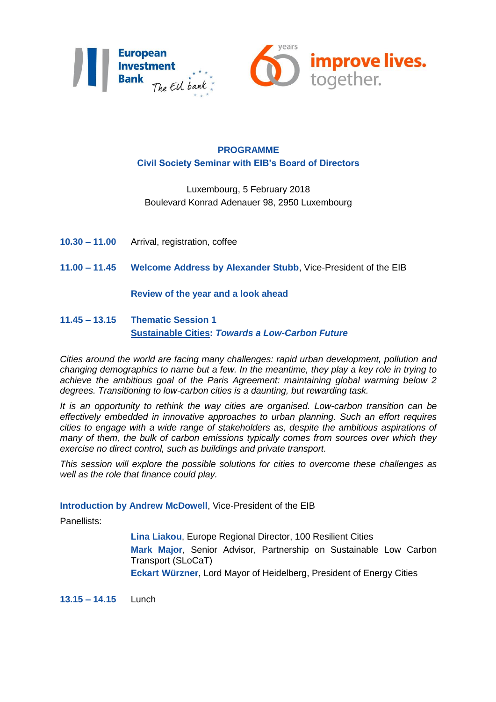



## **PROGRAMME Civil Society Seminar with EIB's Board of Directors**

# Luxembourg, 5 February 2018 Boulevard Konrad Adenauer 98, 2950 Luxembourg

- **10.30 – 11.00** Arrival, registration, coffee
- **11.00 – 11.45 Welcome Address by Alexander Stubb**, Vice-President of the EIB

#### **Review of the year and a look ahead**

## **11.45 – 13.15 Thematic Session 1 Sustainable Cities:** *Towards a Low-Carbon Future*

*Cities around the world are facing many challenges: rapid urban development, pollution and changing demographics to name but a few. In the meantime, they play a key role in trying to achieve the ambitious goal of the Paris Agreement: maintaining global warming below 2 degrees. Transitioning to low-carbon cities is a daunting, but rewarding task.* 

*It is an opportunity to rethink the way cities are organised. Low-carbon transition can be effectively embedded in innovative approaches to urban planning. Such an effort requires cities to engage with a wide range of stakeholders as, despite the ambitious aspirations of many of them, the bulk of carbon emissions typically comes from sources over which they exercise no direct control, such as buildings and private transport.* 

*This session will explore the possible solutions for cities to overcome these challenges as well as the role that finance could play.* 

#### **Introduction by Andrew McDowell**, Vice-President of the EIB

Panellists:

**Lina Liakou**, Europe Regional Director, 100 Resilient Cities **Mark Major**, Senior Advisor, Partnership on Sustainable Low Carbon Transport (SLoCaT) **Eckart Würzner**, Lord Mayor of Heidelberg, President of Energy Cities

**13.15 – 14.15** Lunch